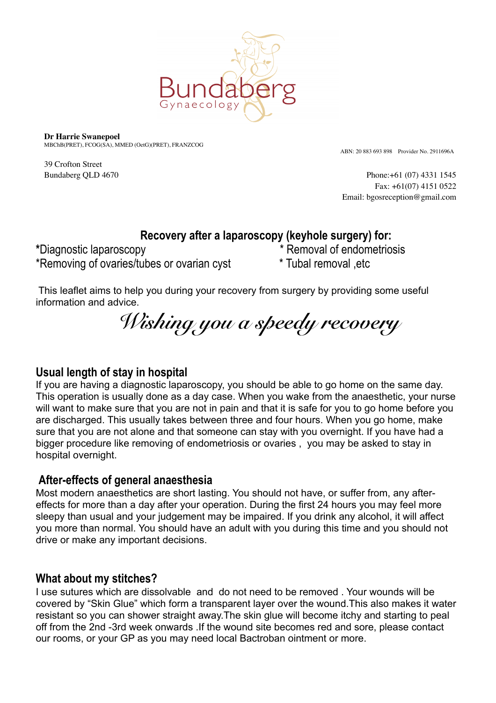

**Dr Harrie Swanepoel** MBChB(PRET), FCOG(SA), MMED (OetG)(PRET), FRANZCOG

39 Crofton Street

ABN: 20 883 693 898 Provider No. 2911696A

Bundaberg QLD 4670 **Phone:**+61 (07) 4331 1545 Fax: +61(07) 4151 0522 Email: bgosreception@gmail.com

# **Recovery after a laparoscopy (keyhole surgery) for:**

**\***Diagnostic laparoscopy \* Removal of endometriosis \*Removing of ovaries/tubes or ovarian cyst \* Tubal removal ,etc

This leaflet aims to help you during your recovery from surgery by providing some useful information and advice.

*Wishing you a speedy recovery* 

## **Usual length of stay in hospital**

If you are having a diagnostic laparoscopy, you should be able to go home on the same day. This operation is usually done as a day case. When you wake from the anaesthetic, your nurse will want to make sure that you are not in pain and that it is safe for you to go home before you are discharged. This usually takes between three and four hours. When you go home, make sure that you are not alone and that someone can stay with you overnight. If you have had a bigger procedure like removing of endometriosis or ovaries , you may be asked to stay in hospital overnight.

## **After-effects of general anaesthesia**

Most modern anaesthetics are short lasting. You should not have, or suffer from, any aftereffects for more than a day after your operation. During the first 24 hours you may feel more sleepy than usual and your judgement may be impaired. If you drink any alcohol, it will affect you more than normal. You should have an adult with you during this time and you should not drive or make any important decisions.

#### **What about my stitches?**

I use sutures which are dissolvable and do not need to be removed . Your wounds will be covered by "Skin Glue" which form a transparent layer over the wound.This also makes it water resistant so you can shower straight away.The skin glue will become itchy and starting to peal off from the 2nd -3rd week onwards .If the wound site becomes red and sore, please contact our rooms, or your GP as you may need local Bactroban ointment or more.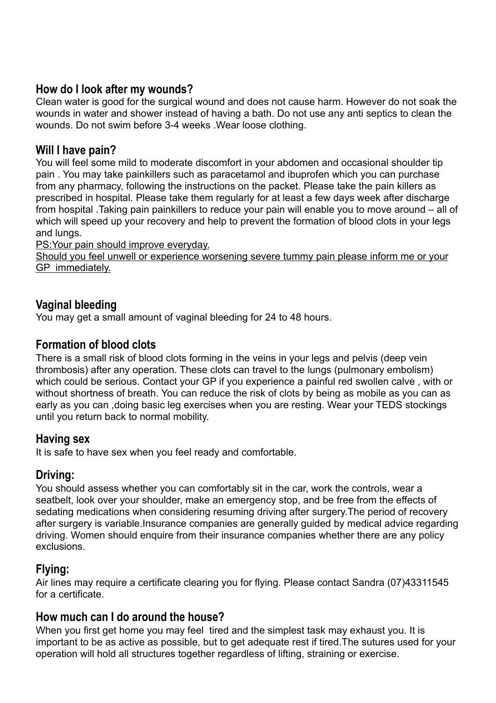#### **How do I look after my wounds?**

Clean water is good for the surgical wound and does not cause harm. However do not soak the wounds in water and shower instead of having a bath. Do not use any anti septics to clean the wounds. Do not swim before 3-4 weeks .Wear loose clothing.

#### **Will I have pain?**

You will feel some mild to moderate discomfort in your abdomen and occasional shoulder tip pain . You may take painkillers such as paracetamol and ibuprofen which you can purchase from any pharmacy, following the instructions on the packet. Please take the pain killers as prescribed in hospital. Please take them regularly for at least a few days week after discharge from hospital .Taking pain painkillers to reduce your pain will enable you to move around – all of which will speed up your recovery and help to prevent the formation of blood clots in your legs and lungs.

PS:Your pain should improve everyday.

Should you feel unwell or experience worsening severe tummy pain please inform me or your GP immediately.

### **Vaginal bleeding**

You may get a small amount of vaginal bleeding for 24 to 48 hours.

#### **Formation of blood clots**

There is a small risk of blood clots forming in the veins in your legs and pelvis (deep vein thrombosis) after any operation. These clots can travel to the lungs (pulmonary embolism) which could be serious. Contact your GP if you experience a painful red swollen calve , with or without shortness of breath. You can reduce the risk of clots by being as mobile as you can as early as you can ,doing basic leg exercises when you are resting. Wear your TEDS stockings until you return back to normal mobility.

#### **Having sex**

It is safe to have sex when you feel ready and comfortable.

#### **Driving:**

You should assess whether you can comfortably sit in the car, work the controls, wear a seatbelt, look over your shoulder, make an emergency stop, and be free from the effects of sedating medications when considering resuming driving after surgery.The period of recovery after surgery is variable.Insurance companies are generally guided by medical advice regarding driving. Women should enquire from their insurance companies whether there are any policy exclusions.

## **Flying:**

Air lines may require a certificate clearing you for flying. Please contact Sandra (07)43311545 for a certificate.

#### **How much can I do around the house?**

When you first get home you may feel tired and the simplest task may exhaust you. It is important to be as active as possible, but to get adequate rest if tired.The sutures used for your operation will hold all structures together regardless of lifting, straining or exercise.